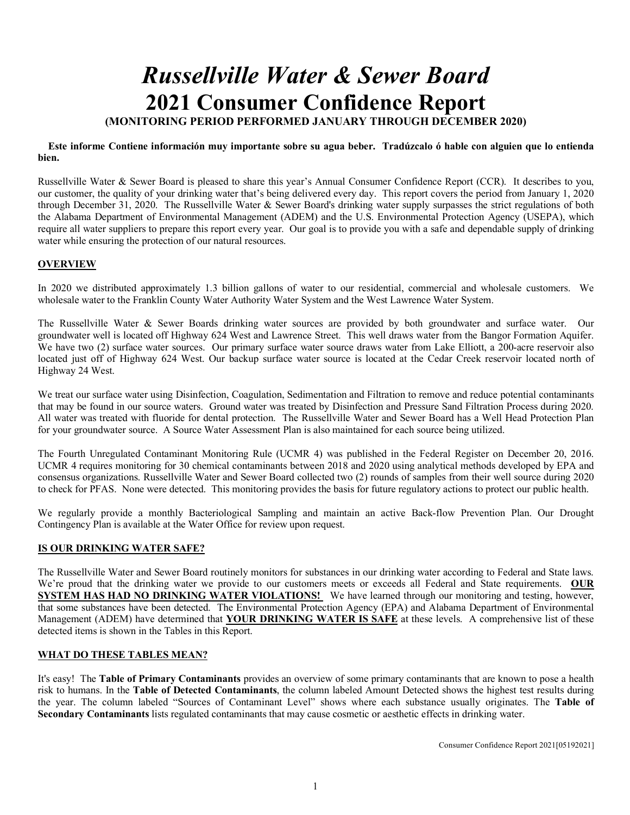# *Russellville Water & Sewer Board*  **2021 Consumer Confidence Report**

### **(MONITORING PERIOD PERFORMED JANUARY THROUGH DECEMBER 2020)**

#### **Este informe Contiene información muy importante sobre su agua beber. Tradúzcalo ó hable con alguien que lo entienda bien.**

Russellville Water & Sewer Board is pleased to share this year's Annual Consumer Confidence Report (CCR). It describes to you, our customer, the quality of your drinking water that's being delivered every day. This report covers the period from January 1, 2020 through December 31, 2020. The Russellville Water & Sewer Board's drinking water supply surpasses the strict regulations of both the Alabama Department of Environmental Management (ADEM) and the U.S. Environmental Protection Agency (USEPA), which require all water suppliers to prepare this report every year. Our goal is to provide you with a safe and dependable supply of drinking water while ensuring the protection of our natural resources.

### **OVERVIEW**

In 2020 we distributed approximately 1.3 billion gallons of water to our residential, commercial and wholesale customers. We wholesale water to the Franklin County Water Authority Water System and the West Lawrence Water System.

The Russellville Water & Sewer Boards drinking water sources are provided by both groundwater and surface water. Our groundwater well is located off Highway 624 West and Lawrence Street. This well draws water from the Bangor Formation Aquifer. We have two (2) surface water sources. Our primary surface water source draws water from Lake Elliott, a 200-acre reservoir also located just off of Highway 624 West. Our backup surface water source is located at the Cedar Creek reservoir located north of Highway 24 West.

We treat our surface water using Disinfection, Coagulation, Sedimentation and Filtration to remove and reduce potential contaminants that may be found in our source waters. Ground water was treated by Disinfection and Pressure Sand Filtration Process during 2020. All water was treated with fluoride for dental protection. The Russellville Water and Sewer Board has a Well Head Protection Plan for your groundwater source. A Source Water Assessment Plan is also maintained for each source being utilized.

The Fourth Unregulated Contaminant Monitoring Rule (UCMR 4) was published in the Federal Register on December 20, 2016. UCMR 4 requires monitoring for 30 chemical contaminants between 2018 and 2020 using analytical methods developed by EPA and consensus organizations. Russellville Water and Sewer Board collected two (2) rounds of samples from their well source during 2020 to check for PFAS. None were detected. This monitoring provides the basis for future regulatory actions to protect our public health.

We regularly provide a monthly Bacteriological Sampling and maintain an active Back-flow Prevention Plan. Our Drought Contingency Plan is available at the Water Office for review upon request.

### **IS OUR DRINKING WATER SAFE?**

The Russellville Water and Sewer Board routinely monitors for substances in our drinking water according to Federal and State laws. We're proud that the drinking water we provide to our customers meets or exceeds all Federal and State requirements. **OUR SYSTEM HAS HAD NO DRINKING WATER VIOLATIONS!** We have learned through our monitoring and testing, however, that some substances have been detected. The Environmental Protection Agency (EPA) and Alabama Department of Environmental Management (ADEM) have determined that **YOUR DRINKING WATER IS SAFE** at these levels. A comprehensive list of these detected items is shown in the Tables in this Report.

### **WHAT DO THESE TABLES MEAN?**

It's easy! The **Table of Primary Contaminants** provides an overview of some primary contaminants that are known to pose a health risk to humans. In the **Table of Detected Contaminants**, the column labeled Amount Detected shows the highest test results during the year. The column labeled "Sources of Contaminant Level" shows where each substance usually originates. The **Table of Secondary Contaminants** lists regulated contaminants that may cause cosmetic or aesthetic effects in drinking water.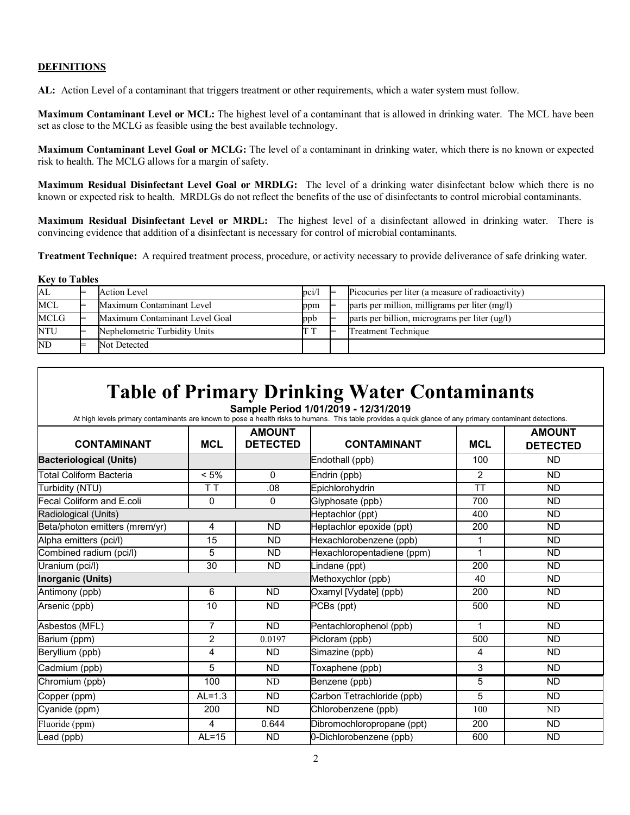### **DEFINITIONS**

**Key to Tables**

**AL:** Action Level of a contaminant that triggers treatment or other requirements, which a water system must follow.

**Maximum Contaminant Level or MCL:** The highest level of a contaminant that is allowed in drinking water. The MCL have been set as close to the MCLG as feasible using the best available technology.

**Maximum Contaminant Level Goal or MCLG:** The level of a contaminant in drinking water, which there is no known or expected risk to health. The MCLG allows for a margin of safety.

**Maximum Residual Disinfectant Level Goal or MRDLG:** The level of a drinking water disinfectant below which there is no known or expected risk to health. MRDLGs do not reflect the benefits of the use of disinfectants to control microbial contaminants.

**Maximum Residual Disinfectant Level or MRDL:** The highest level of a disinfectant allowed in drinking water. There is convincing evidence that addition of a disinfectant is necessary for control of microbial contaminants.

**Treatment Technique:** A required treatment process, procedure, or activity necessary to provide deliverance of safe drinking water.

| <b>Rev to Tables</b> |  |                                |              |  |                                                   |  |  |
|----------------------|--|--------------------------------|--------------|--|---------------------------------------------------|--|--|
| AL                   |  | Action Level                   | pci/l        |  | Picocuries per liter (a measure of radioactivity) |  |  |
| <b>MCL</b>           |  | Maximum Contaminant Level      | ppm          |  | parts per million, milligrams per liter (mg/l)    |  |  |
| <b>MCLG</b>          |  | Maximum Contaminant Level Goal | ppb          |  | parts per billion, micrograms per liter (ug/l)    |  |  |
| NTU                  |  | Nephelometric Turbidity Units  | <b>D. 70</b> |  | Treatment Technique                               |  |  |
| $\overline{ND}$      |  | Not Detected                   |              |  |                                                   |  |  |

# **Table of Primary Drinking Water Contaminants**

**Sample Period 1/01/2019 - 12/31/2019**

At high levels primary contaminants are known to pose a health risks to humans. This table provides a quick glance of any primary contaminant detections.

| <b>CONTAMINANT</b>             | <b>MCL</b>     | <b>AMOUNT</b><br><b>DETECTED</b> | <b>CONTAMINANT</b>                  | <b>MCL</b>     | <b>AMOUNT</b><br><b>DETECTED</b> |
|--------------------------------|----------------|----------------------------------|-------------------------------------|----------------|----------------------------------|
| <b>Bacteriological (Units)</b> |                |                                  | Endothall (ppb)                     | 100            | <b>ND</b>                        |
| <b>Total Coliform Bacteria</b> | $< 5\%$        | 0                                | Endrin (ppb)                        | 2              | <b>ND</b>                        |
| Turbidity (NTU)                | ТT             | .08                              | Epichlorohydrin                     | <b>TT</b>      | <b>ND</b>                        |
| Fecal Coliform and E.coli      | $\mathbf 0$    | 0                                | Glyphosate (ppb)                    | 700            | <b>ND</b>                        |
| Radiological (Units)           |                |                                  | Heptachlor (ppt)                    | 400            | <b>ND</b>                        |
| Beta/photon emitters (mrem/yr) | 4              | <b>ND</b>                        | Heptachlor epoxide (ppt)            | 200            | <b>ND</b>                        |
| Alpha emitters (pci/l)         | 15             | <b>ND</b>                        | Hexachlorobenzene (ppb)             | 1              | <b>ND</b>                        |
| Combined radium (pci/l)        | 5              | <b>ND</b>                        | Hexachloropentadiene (ppm)          | 1              | <b>ND</b>                        |
| Uranium (pci/l)                | 30             | <b>ND</b>                        | $\overline{\mathsf{L}}$ ndane (ppt) | 200            | <b>ND</b>                        |
| <b>Inorganic (Units)</b>       |                |                                  | Methoxychlor (ppb)                  | 40             | <b>ND</b>                        |
| Antimony (ppb)                 | 6              | <b>ND</b>                        | Oxamyl [Vydate] (ppb)               | 200            | <b>ND</b>                        |
| Arsenic (ppb)                  | 10             | <b>ND</b>                        | PCBs (ppt)                          | 500            | <b>ND</b>                        |
| Asbestos (MFL)                 | $\overline{7}$ | <b>ND</b>                        | Pentachlorophenol (ppb)             | $\overline{1}$ | <b>ND</b>                        |
| Barium (ppm)                   | $\overline{c}$ | 0.0197                           | Picloram (ppb)                      | 500            | <b>ND</b>                        |
| Beryllium (ppb)                | 4              | <b>ND</b>                        | Simazine (ppb)                      | 4              | <b>ND</b>                        |
| Cadmium (ppb)                  | 5              | <b>ND</b>                        | Toxaphene (ppb)                     | 3              | <b>ND</b>                        |
| Chromium (ppb)                 | 100            | ND                               | Benzene (ppb)                       | 5              | <b>ND</b>                        |
| Copper (ppm)                   | $AL=1.3$       | <b>ND</b>                        | Carbon Tetrachloride (ppb)          | 5              | <b>ND</b>                        |
| Cyanide (ppm)                  | 200            | <b>ND</b>                        | Chlorobenzene (ppb)                 | 100            | ND                               |
| Fluoride (ppm)                 | 4              | 0.644                            | Dibromochloropropane (ppt)          | 200            | <b>ND</b>                        |
| Lead (ppb)                     | $AL = 15$      | <b>ND</b>                        | 0-Dichlorobenzene (ppb)             | 600            | ND                               |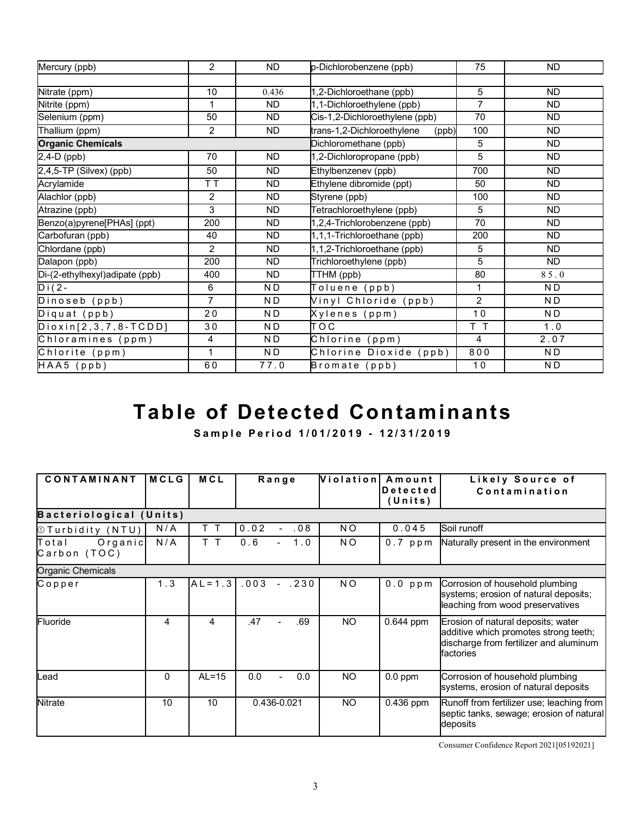| Mercury (ppb)                   | $\overline{2}$ | <b>ND</b> | p-Dichlorobenzene (ppb)             | 75             | <b>ND</b>      |
|---------------------------------|----------------|-----------|-------------------------------------|----------------|----------------|
|                                 |                |           |                                     |                |                |
| Nitrate (ppm)                   | 10             | 0.436     | 1,2-Dichloroethane (ppb)            | 5              | <b>ND</b>      |
| Nitrite (ppm)                   | 1              | <b>ND</b> | 1,1-Dichloroethylene (ppb)          | $\overline{7}$ | <b>ND</b>      |
| Selenium (ppm)                  | 50             | ND.       | Cis-1,2-Dichloroethylene (ppb)      | 70             | <b>ND</b>      |
| Thallium (ppm)                  | 2              | <b>ND</b> | trans-1,2-Dichloroethylene<br>(ppb) | 100            | <b>ND</b>      |
| <b>Organic Chemicals</b>        |                |           | Dichloromethane (ppb)               | 5              | <b>ND</b>      |
| 2,4-D (ppb)                     | 70             | <b>ND</b> | 1,2-Dichloropropane (ppb)           | $\overline{5}$ | <b>ND</b>      |
| 2,4,5-TP (Silvex) (ppb)         | 50             | <b>ND</b> | Ethylbenzenev (ppb)                 | 700            | ND.            |
| Acrylamide                      | T T            | ND.       | Ethylene dibromide (ppt)            | 50             | ND.            |
| Alachlor (ppb)                  | 2              | <b>ND</b> | Styrene (ppb)                       | 100            | <b>ND</b>      |
| Atrazine (ppb)                  | 3              | ND.       | Tetrachloroethylene (ppb)           | 5              | <b>ND</b>      |
| Benzo(a)pyrene[PHAs] (ppt)      | 200            | <b>ND</b> | 1,2,4-Trichlorobenzene (ppb)        | 70             | <b>ND</b>      |
| Carbofuran (ppb)                | 40             | ND.       | 1,1,1-Trichloroethane (ppb)         | 200            | <b>ND</b>      |
| Chlordane (ppb)                 | $\overline{c}$ | <b>ND</b> | 1,1,2-Trichloroethane (ppb)         | 5              | <b>ND</b>      |
| Dalapon (ppb)                   | 200            | ND.       | Trichloroethylene (ppb)             | $\overline{5}$ | <b>ND</b>      |
| Di-(2-ethylhexyl) adipate (ppb) | 400            | <b>ND</b> | TTHM (ppb)                          | 80             | 85.0           |
| $Di(2 -$                        | 6              | N D       | Toluene (ppb)                       | 1              | ND             |
| Dinoseb (ppb)                   | $\overline{7}$ | N D       | Vinyl Chloride (ppb)                | $\overline{2}$ | N <sub>D</sub> |
| Diquat (ppb)                    | 20             | N D       | Xylenes (ppm)                       | 10             | N D            |
| $Dioxin[2,3,7,8-TCDD]$          | 30             | N D       | тос                                 | T T            | 1.0            |
| Chloramines (ppm)               | 4              | N D       | Chlorine (ppm)                      | 4              | 2.07           |
| Chlorite (ppm)                  | 1              | N D       | Chlorine Dioxide (ppb)              | 800            | N <sub>D</sub> |
| HAA5 (ppb)                      | 60             | 77.0      | Bromate (ppb)                       | 10             | N D            |

# **Table of Detected Contaminants**

**Sample Period 1/01/20 1 9 - 12/31/201 9**

| CONTAMINANT                      | <b>MCLG</b> | <b>MCL</b> | Range                        | Violation      | Amount<br><b>Detected</b><br>(Units) | Likely Source of<br>Contamination                                                                                                  |
|----------------------------------|-------------|------------|------------------------------|----------------|--------------------------------------|------------------------------------------------------------------------------------------------------------------------------------|
| Bacteriological (Units)          |             |            |                              |                |                                      |                                                                                                                                    |
| <b><i>OTurbidity (NTU)</i></b>   | N/A         | т          | 0.02<br>.08                  | N <sub>O</sub> | 0.045                                | Soil runoff                                                                                                                        |
| Organic<br>Total<br>Carbon (TOC) | N/A         | T T        | 0.6<br>1.0                   | NO.            | $0.7$ ppm                            | Naturally present in the environment                                                                                               |
| Organic Chemicals                |             |            |                              |                |                                      |                                                                                                                                    |
| Copper                           | 1.3         | $AL = 1.3$ | .003<br>$-.230$              | NO.            | $0.0$ ppm                            | Corrosion of household plumbing<br>systems; erosion of natural deposits;<br>leaching from wood preservatives                       |
| Fluoride                         | 4           | 4          | .47<br>.69<br>$\overline{a}$ | <b>NO</b>      | $0.644$ ppm                          | Erosion of natural deposits; water<br>additive which promotes strong teeth;<br>discharge from fertilizer and aluminum<br>factories |
| .ead                             | 0           | $AL=15$    | 0.0<br>0.0                   | <b>NO</b>      | $0.0$ ppm                            | Corrosion of household plumbing<br>systems, erosion of natural deposits                                                            |
| <b>Nitrate</b>                   | 10          | 10         | 0.436-0.021                  | <b>NO</b>      | 0.436 ppm                            | Runoff from fertilizer use; leaching from<br>septic tanks, sewage; erosion of natural<br>deposits                                  |

Consumer Confidence Report 2021[05192021]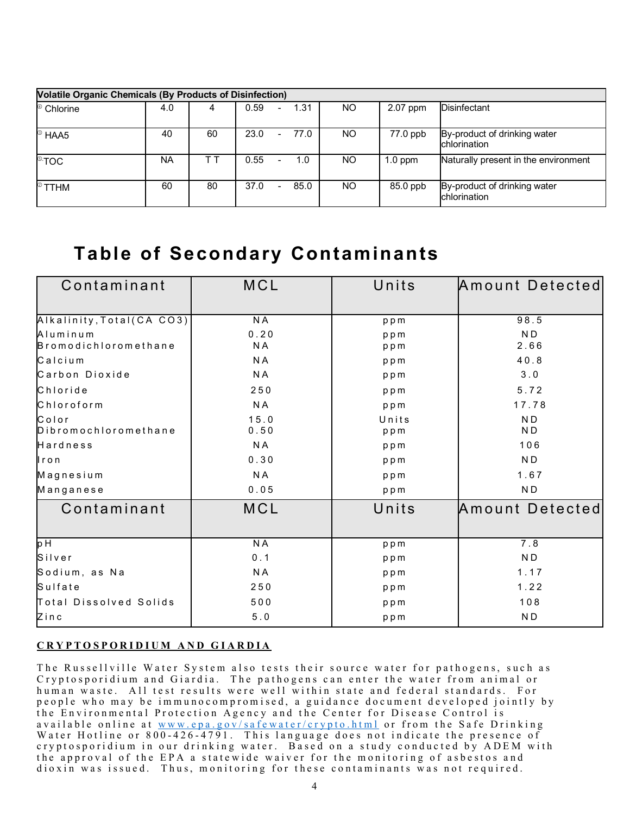| <b>Volatile Organic Chemicals (By Products of Disinfection)</b> |     |    |                                  |      |     |           |                                              |
|-----------------------------------------------------------------|-----|----|----------------------------------|------|-----|-----------|----------------------------------------------|
| <sup>4</sup> Chlorine                                           | 4.0 |    | 0.59<br>$\overline{\phantom{0}}$ | 1.31 | NO. | 2.07 ppm  | <b>Disinfectant</b>                          |
| HAA5                                                            | 40  | 60 | 23.0<br>$\overline{\phantom{0}}$ | 77.0 | NO. | 77.0 ppb  | By-product of drinking water<br>chlorination |
| $^{\circ}$ :TOC                                                 | NA  |    | 0.55<br>Ξ.                       | 1.0  | NO. | $1.0$ ppm | Naturally present in the environment         |
| $^\circ$ TTHM                                                   | 60  | 80 | 37.0                             | 85.0 | NO. | 85.0 ppb  | By-product of drinking water<br>chlorination |

### **Table of Secondary Contaminants**

| Contaminant                             | MCL            | Units        | Amount Detected                  |
|-----------------------------------------|----------------|--------------|----------------------------------|
|                                         |                |              |                                  |
| Alkalinity, Total(CA CO3)               | <b>NA</b>      | ppm          | 98.5                             |
| Aluminum<br><b>Bromodichloromethane</b> | 0.20<br>N A    | ppm<br>ppm   | N <sub>D</sub><br>2.66           |
| Calcium                                 | N <sub>A</sub> | ppm          | 40.8                             |
| Carbon Dioxide                          | N A            | ppm          | 3.0                              |
| Chloride                                | 250            | ppm          | 5.72                             |
| Chloroform                              | N <sub>A</sub> | ppm          | 17.78                            |
| Color<br>Dibromochloromethane           | 15.0<br>0.50   | Units<br>ppm | N <sub>D</sub><br>N <sub>D</sub> |
| Hardness                                | N A            | ppm          | 106                              |
| $l$ ron                                 | 0.30           | ppm          | N <sub>D</sub>                   |
| Magnesium                               | N <sub>A</sub> | ppm          | 1.67                             |
| Manganese                               | 0.05           | ppm          | N <sub>D</sub>                   |
| Contaminant                             | MCL            | Units        | Amount Detected                  |
|                                         |                |              |                                  |
| p H                                     | N <sub>A</sub> | ppm          | 7.8                              |
| Silver                                  | 0.1            | ppm          | N <sub>D</sub>                   |
| Sodium, as Na                           | N <sub>A</sub> | ppm          | 1.17                             |
| Sulfate                                 | 250            | ppm          | 1.22                             |
| Total Dissolved Solids                  | 500            | ppm          | 108                              |
| Zinc                                    | $5.0$          | ppm          | N <sub>D</sub>                   |

### **CRYPTOSPORIDIUM AND GIARDIA**

The Russellville Water System also tests their source water for pathogens, such as C ryptosporidium and Giardia. The pathogens can enter the water from animal or human waste. All test results were well within state and federal standards. For people who may be immu nocompromised, a guidance document developed jointly by the Environmental Protection Agency and the Center for Disease Control is available online at [www.epa.gov/safewater/crypto.html](http://www.epa.gov/safewater/crypto.html) or from the Safe Drinking Water Hotline or 800-426-4791. This language does not indicate the presence of cryptosporidium in our drinking water. Based on a study conducted by ADEM with the approval of the EPA a statewide waiver for the monitoring of asbestos and dioxin was issued. Thus, monitoring for these contaminants was not required.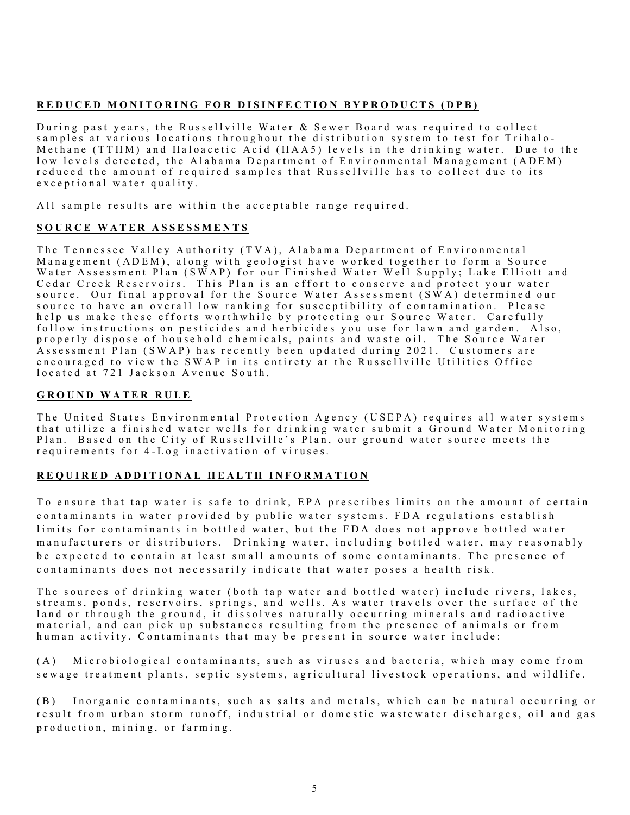### **REDUCED MONITORING FOR DISINFECTION BYPRODUCTS (DPB)**

During past years, the Russellville Water & Sewer Board was required to collect samples at various locations throughout the distribution system to test for Trihalo - Methane (TTHM) and Haloacetic Acid (HAA5) levels in the drinking water. Due to the low levels detected, the Alabama Department of Environmental Management (ADEM) reduced the amount of required samples that Russellville has to collect due to its exceptional water quality.

All sample results are within the acceptable range required.

### **SOURCE WATER ASSESSMENTS**

The Tennessee Valley Authority (TVA), Alabama Department of Environmental Management (ADEM), along with geologist have worked together to form a Source Water Assessment Plan (SWAP) for our Finished Water Well Supply; Lake Elliott and Cedar Creek Reservoirs. This Plan is an effort to conserve and protect your water source. Our final approval for the Source Water Assessment  $(S\dot{W}A)$  determined our source to have an overall low ranking for susceptibility of contamination . Please help us make these efforts worthwhile by protecting our Source Water. Carefully follow instructions on pesticides and herbicides you use for lawn and garden. Also, properly dispose of household chemicals, paints and waste oil. The Source Water Assessment Plan (SWAP) has recently been updated during 2021. Customers are encouraged to view the SWAP in its entirety at the Russellville Utilities Office located at 721 Jackson Avenue South.

### **GROUND WATER RULE**

The United States Environmental Protection Agency (USEPA) requires all water systems that utilize a finished water wells for drinking water submit a Ground Water Monitoring Plan. Based on the City of Russellville's Plan, our ground water source meets the req u irements for 4 - Log inactivation of viruses.

### **REQUIRED ADDITIONAL HEALTH INFORMATION**

To ensure that tap water is safe to drink, EPA prescribes limits on the amount of certain contaminants in water provided by public water systems. FDA regulations establish limits for contaminants in bottled water, but the FDA does not approve bottled water manufacturers or distributors. Drinking water, including bottled water, may reasonably be expected to contain at least small amounts of some contaminants. The presence of contaminants does not necessarily indicate that water poses a health risk.

The sources of drinking water (both tap water and bottled water) include rivers, lakes, streams, ponds, reservoirs, springs, and wells. As water travels over the surface of the land or through the ground, it dissolves naturally occurring minerals and radioactive material, and can pick up substances resulting from the presence of animals or from human activity. Contaminants that may be present in source water include:

(A) Microbiological contaminants, such as viruses and bacteria, which may come from sewage treatment plants, septic systems, agricultural livestock operations, and wildlife.

(B) Inorganic contaminants, such as salts and metals, which can be natural occurring or result from urban storm runoff, industrial or domestic wastewater discharges, oil and gas production, mining, or farming.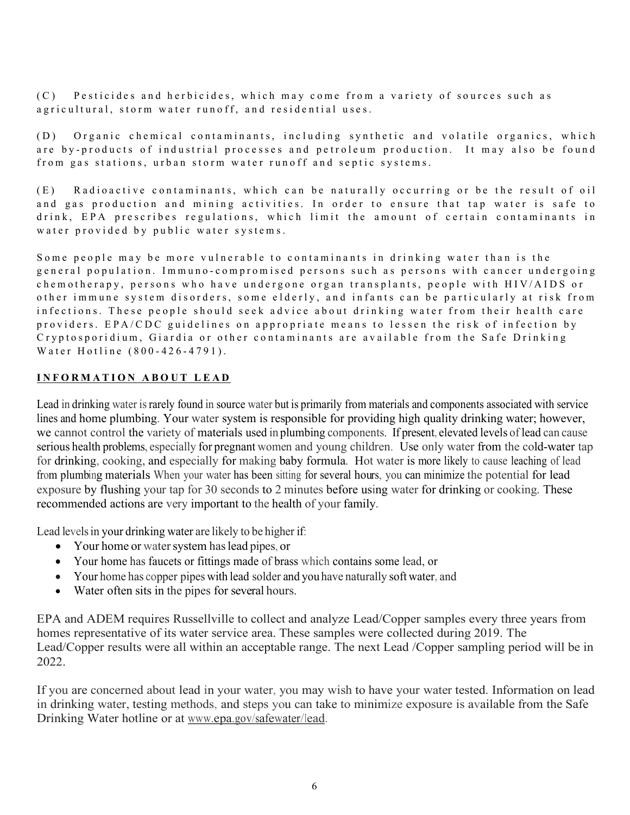(C) Pesticides and herbicides, which may come from a variety of sources such as agricultural, storm water runoff, and residential uses.

(D) Organic chemical contaminants, including synthetic and volatile organics, which are by-products of industrial processes and petroleum production. It may also be found from gas stations, urban storm water runoff and septic systems.

(E) Radioactive contaminants, which can be naturally occurring or be the result of oil and gas production and mining activities. In order to ensure that tap water is safe to drink, EPA prescribes regulations, which limit the amount of certain contaminants in water provided by public water systems.

Some people may be more vulnerable to contaminants in drinking water than is the general population. Immuno - compromised persons such as persons with cancer undergoing chemotherapy, persons who have undergone organ transplants, people with HIV/AIDS or other immune system disorders, some elderly, and infants can be particularly at risk from infections. These people should seek advice about drinking water from their health care providers. EPA/CDC guidelines on appropriate means to lessen the risk of infection by Cryptosporidium, Giardia or other contaminants are available from the Safe Drinking Water Hotline (800 - 426 - 4791).

### **INFORMATION ABOUT LEAD**

Lead in drinking water is rarely found in source water but is primarily from materials and components associated with service lines and home plumbing. Your water system is responsible for providing high quality drinking water; however, we cannot control the variety of materials used in plumbing components. If present, elevated levels of lead can cause serious health problems, especially for pregnant women and young children. Use only water from the cold-water tap for drinking, cooking, and especially for making baby formula. Hot water is more likely to cause leaching of lead from plumbing materials. When your water has been sitting for several hours, you can minimize the potential for lead exposure by flushing your tap for 30 seconds to 2 minutes before using water for drinking or cooking. These recommended actions are very important to the health of your family.

Lead levels in your drinking water are likely to be higher if:

- Your home or water system has lead pipes, or
- Your home has faucets or fittings made of brass which contains some lead, or
- Your home has copper pipes with lead solder and you have naturally soft water, and
- Water often sits in the pipes for several hours.

EPA and ADEM requires Russellville to collect and analyze Lead/Copper samples every three years from homes representative of its water service area. These samples were collected during 2019. The Lead/Copper results were all within an acceptable range. The next Lead /Copper sampling period will be in 2022.

If you are concerned about lead in your water, you may wish to have your water tested. Information on lead in drinking water, testing methods, and steps you can take to minimize exposure is available from the Safe Drinking Water hotline or at www.epa.gov/safewater/lead.